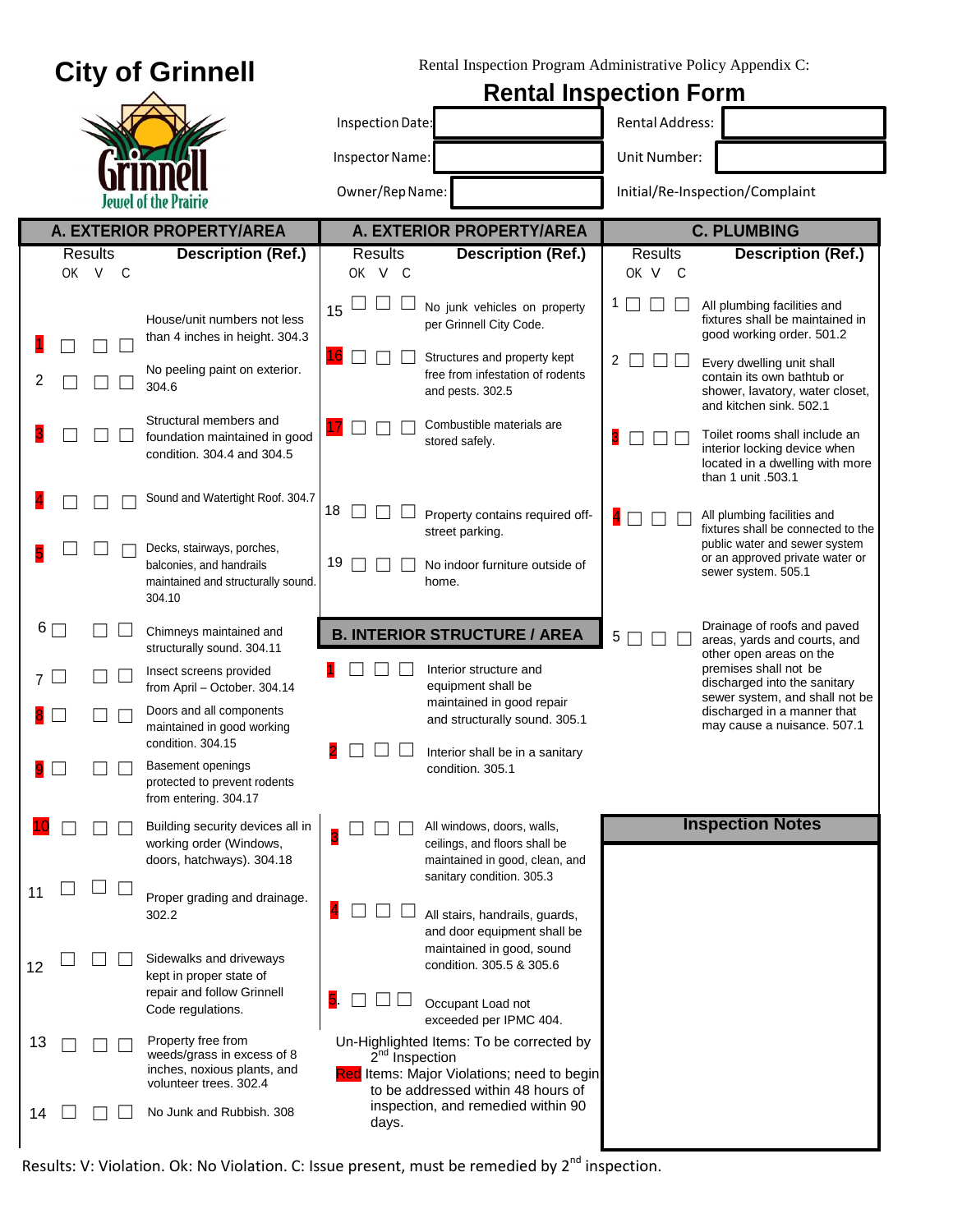| <b>City of Grinnell</b>                                                                                | Rental Inspection Program Administrative Policy Appendix C:                                          |                                                                                                                            |  |
|--------------------------------------------------------------------------------------------------------|------------------------------------------------------------------------------------------------------|----------------------------------------------------------------------------------------------------------------------------|--|
|                                                                                                        | <b>Rental Inspection Form</b>                                                                        |                                                                                                                            |  |
|                                                                                                        | Inspection Date:                                                                                     | <b>Rental Address:</b>                                                                                                     |  |
|                                                                                                        | Inspector Name:                                                                                      | Unit Number:                                                                                                               |  |
| Jewel of the Prairie                                                                                   | Owner/Rep Name:                                                                                      | Initial/Re-Inspection/Complaint                                                                                            |  |
| A. EXTERIOR PROPERTY/AREA                                                                              | A. EXTERIOR PROPERTY/AREA                                                                            | <b>C. PLUMBING</b>                                                                                                         |  |
| <b>Results</b><br><b>Description (Ref.)</b>                                                            | <b>Results</b><br><b>Description (Ref.)</b>                                                          | Results<br><b>Description (Ref.)</b>                                                                                       |  |
| OK V<br>C                                                                                              | OK V C                                                                                               | OK V C                                                                                                                     |  |
| House/unit numbers not less<br>than 4 inches in height. 304.3                                          | No junk vehicles on property<br>15<br>per Grinnell City Code.                                        | All plumbing facilities and<br>fixtures shall be maintained in<br>good working order. 501.2                                |  |
| No peeling paint on exterior.<br>2<br>304.6                                                            | 16<br>Structures and property kept<br>free from infestation of rodents<br>and pests. 302.5           | 2<br>Every dwelling unit shall<br>contain its own bathtub or<br>shower, lavatory, water closet,<br>and kitchen sink. 502.1 |  |
| Structural members and<br>foundation maintained in good<br>condition. 304.4 and 304.5                  | Combustible materials are<br>17<br>stored safely.                                                    | Toilet rooms shall include an<br>interior locking device when<br>located in a dwelling with more<br>than 1 unit .503.1     |  |
| Sound and Watertight Roof. 304.7                                                                       | 18<br>Property contains required off-<br>street parking.                                             | All plumbing facilities and<br>fixtures shall be connected to the                                                          |  |
| Decks, stairways, porches,<br>balconies, and handrails<br>maintained and structurally sound.<br>304.10 | 19<br>No indoor furniture outside of<br>home.                                                        | public water and sewer system<br>or an approved private water or<br>sewer system. 505.1                                    |  |
| $6\Box$<br>Chimneys maintained and<br>structurally sound. 304.11                                       | <b>B. INTERIOR STRUCTURE / AREA</b>                                                                  | Drainage of roofs and paved<br>5<br>areas, yards and courts, and<br>other open areas on the                                |  |
| Insect screens provided<br>7 L<br>from April - October. 304.14                                         | Interior structure and<br>equipment shall be<br>maintained in good repair                            | premises shall not be<br>discharged into the sanitary<br>sewer system, and shall not be                                    |  |
| Doors and all components<br>maintained in good working<br>condition. 304.15                            | and structurally sound. 305.1                                                                        | discharged in a manner that<br>may cause a nuisance. 507.1                                                                 |  |
| Basement openings<br>protected to prevent rodents<br>from entering. 304.17                             | 2 O O O<br>Interior shall be in a sanitary<br>condition. 305.1                                       |                                                                                                                            |  |
| Building security devices all in<br>working order (Windows,<br>doors, hatchways). 304.18               | All windows, doors, walls,<br>ceilings, and floors shall be<br>maintained in good, clean, and        | <b>Inspection Notes</b>                                                                                                    |  |
| 11<br>Proper grading and drainage.<br>302.2                                                            | sanitary condition. 305.3<br>4<br>All stairs, handrails, guards,<br>and door equipment shall be      |                                                                                                                            |  |
| Sidewalks and driveways<br>12<br>kept in proper state of<br>repair and follow Grinnell                 | maintained in good, sound<br>condition. 305.5 & 305.6<br>5.<br>Occupant Load not                     |                                                                                                                            |  |
| Code regulations.<br>Property free from<br>13                                                          | exceeded per IPMC 404.<br>Un-Highlighted Items: To be corrected by                                   |                                                                                                                            |  |
| weeds/grass in excess of 8<br>inches, noxious plants, and<br>volunteer trees. 302.4                    | $2nd$ Inspection<br>Red Items: Major Violations; need to begin<br>to be addressed within 48 hours of |                                                                                                                            |  |
| No Junk and Rubbish. 308<br>14                                                                         | inspection, and remedied within 90<br>days.                                                          |                                                                                                                            |  |

Results: V: Violation. Ok: No Violation. C: Issue present, must be remedied by 2<sup>nd</sup> inspection.